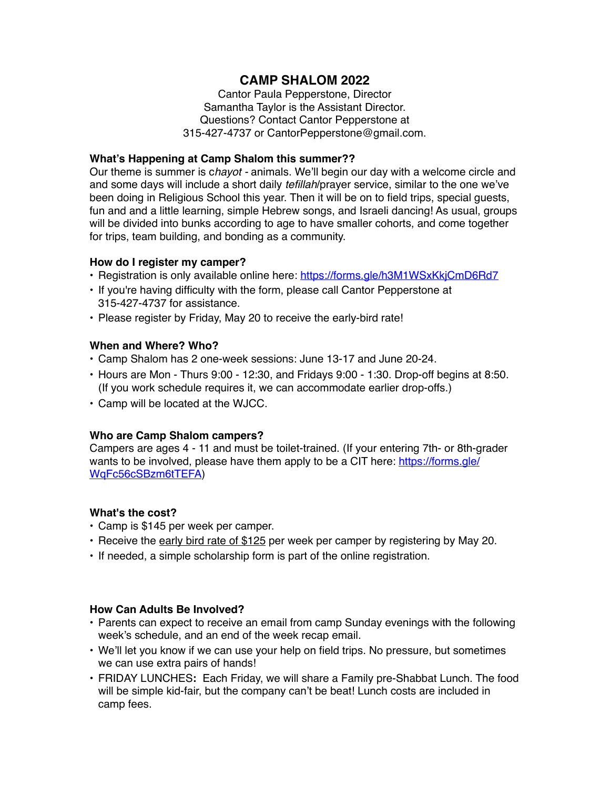# **CAMP SHALOM 2022**

Cantor Paula Pepperstone, Director Samantha Taylor is the Assistant Director. Questions? Contact Cantor Pepperstone at 315-427-4737 or CantorPepperstone@gmail.com.

### **What's Happening at Camp Shalom this summer??**

Our theme is summer is c*hayot -* animals. We'll begin our day with a welcome circle and and some days will include a short daily *tefillah*/prayer service, similar to the one we've been doing in Religious School this year. Then it will be on to field trips, special guests, fun and and a little learning, simple Hebrew songs, and Israeli dancing! As usual, groups will be divided into bunks according to age to have smaller cohorts, and come together for trips, team building, and bonding as a community.

### **How do I register my camper?**

- Registration is only available online here: <https://forms.gle/h3M1WSxKkjCmD6Rd7>
- If you're having difficulty with the form, please call Cantor Pepperstone at 315-427-4737 for assistance.
- Please register by Friday, May 20 to receive the early-bird rate!

## **When and Where? Who?**

- Camp Shalom has 2 one-week sessions: June 13-17 and June 20-24.
- Hours are Mon Thurs 9:00 12:30, and Fridays 9:00 1:30. Drop-off begins at 8:50. (If you work schedule requires it, we can accommodate earlier drop-offs.)
- Camp will be located at the WJCC.

# **Who are Camp Shalom campers?**

Campers are ages 4 - 11 and must be toilet-trained. (If your entering 7th- or 8th-grader wants to be involved, please have them apply to be a CIT here: [https://forms.gle/](https://forms.gle/WqFc56cSBzm6tTEFA) [WqFc56cSBzm6tTEFA](https://forms.gle/WqFc56cSBzm6tTEFA))

# **What's the cost?**

- Camp is \$145 per week per camper.
- Receive the early bird rate of \$125 per week per camper by registering by May 20.
- If needed, a simple scholarship form is part of the online registration.

#### **How Can Adults Be Involved?**

- Parents can expect to receive an email from camp Sunday evenings with the following week's schedule, and an end of the week recap email.
- We'll let you know if we can use your help on field trips. No pressure, but sometimes we can use extra pairs of hands!
- FRIDAY LUNCHES**:** Each Friday, we will share a Family pre-Shabbat Lunch. The food will be simple kid-fair, but the company can't be beat! Lunch costs are included in camp fees.